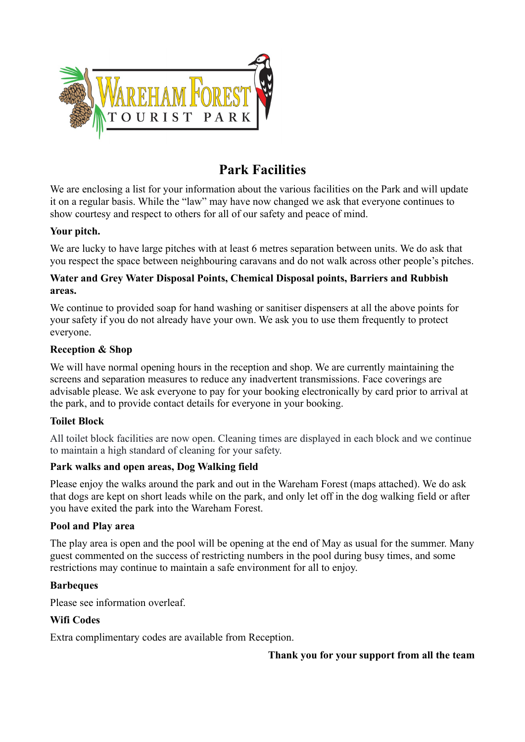

# **Park Facilities**

We are enclosing a list for your information about the various facilities on the Park and will update it on a regular basis. While the "law" may have now changed we ask that everyone continues to show courtesy and respect to others for all of our safety and peace of mind.

#### **Your pitch.**

We are lucky to have large pitches with at least 6 metres separation between units. We do ask that you respect the space between neighbouring caravans and do not walk across other people's pitches.

#### **Water and Grey Water Disposal Points, Chemical Disposal points, Barriers and Rubbish areas.**

We continue to provided soap for hand washing or sanitiser dispensers at all the above points for your safety if you do not already have your own. We ask you to use them frequently to protect everyone.

#### **Reception & Shop**

We will have normal opening hours in the reception and shop. We are currently maintaining the screens and separation measures to reduce any inadvertent transmissions. Face coverings are advisable please. We ask everyone to pay for your booking electronically by card prior to arrival at the park, and to provide contact details for everyone in your booking.

## **Toilet Block**

All toilet block facilities are now open. Cleaning times are displayed in each block and we continue to maintain a high standard of cleaning for your safety.

## **Park walks and open areas, Dog Walking field**

Please enjoy the walks around the park and out in the Wareham Forest (maps attached). We do ask that dogs are kept on short leads while on the park, and only let off in the dog walking field or after you have exited the park into the Wareham Forest.

#### **Pool and Play area**

The play area is open and the pool will be opening at the end of May as usual for the summer. Many guest commented on the success of restricting numbers in the pool during busy times, and some restrictions may continue to maintain a safe environment for all to enjoy.

#### **Barbeques**

Please see information overleaf.

## **Wifi Codes**

Extra complimentary codes are available from Reception.

**Thank you for your support from all the team**